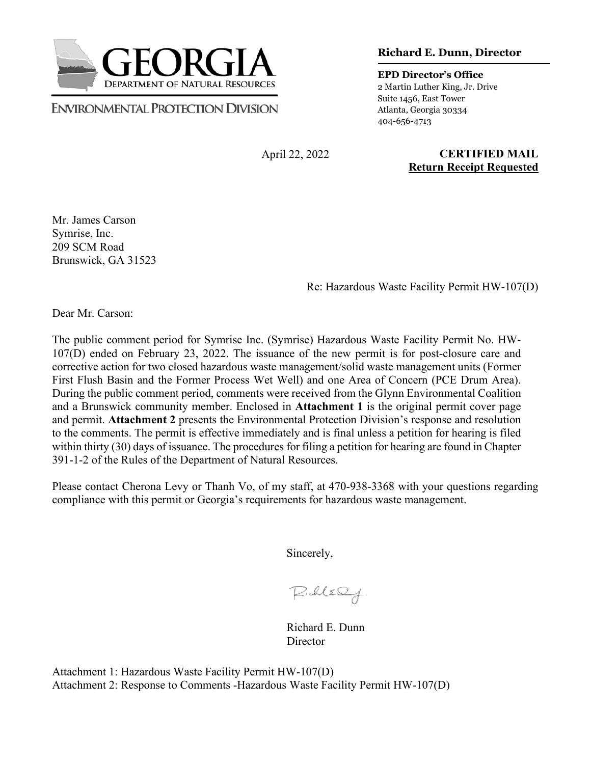

**ENVIRONMENTAL PROTECTION DIVISION** 

**Richard E. Dunn, Director**

**EPD Director's Office** 2 Martin Luther King, Jr. Drive Suite 1456, East Tower Atlanta, Georgia 30334 404-656-4713

April 22, 2022

**CERTIFIED MAIL Return Receipt Requested**

Mr. James Carson Symrise, Inc. 209 SCM Road Brunswick, GA 31523

Re: Hazardous Waste Facility Permit HW-107(D)

Dear Mr. Carson:

The public comment period for Symrise Inc. (Symrise) Hazardous Waste Facility Permit No. HW-107(D) ended on February 23, 2022. The issuance of the new permit is for post-closure care and corrective action for two closed hazardous waste management/solid waste management units (Former First Flush Basin and the Former Process Wet Well) and one Area of Concern (PCE Drum Area). During the public comment period, comments were received from the Glynn Environmental Coalition and a Brunswick community member. Enclosed in **Attachment 1** is the original permit cover page and permit. **Attachment 2** presents the Environmental Protection Division's response and resolution to the comments. The permit is effective immediately and is final unless a petition for hearing is filed within thirty (30) days of issuance. The procedures for filing a petition for hearing are found in Chapter 391-1-2 of the Rules of the Department of Natural Resources.

Please contact Cherona Levy or Thanh Vo, of my staff, at 470-938-3368 with your questions regarding compliance with this permit or Georgia's requirements for hazardous waste management.

Sincerely,

 $P.$ lle $Q$ 

 Richard E. Dunn **Director** 

Attachment 1: Hazardous Waste Facility Permit HW-107(D) Attachment 2: Response to Comments -Hazardous Waste Facility Permit HW-107(D)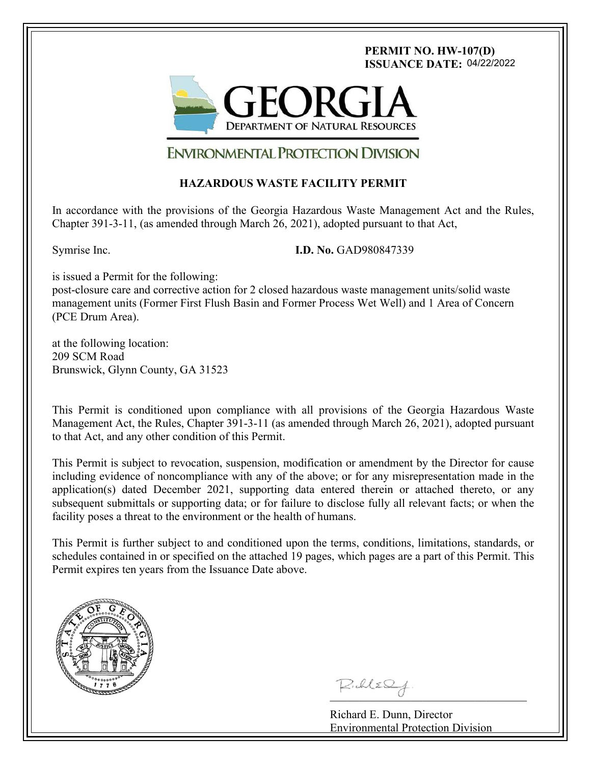# **PERMIT NO. HW-107(D) ISSUANCE DATE:** 04/22/2022



# **ENVIRONMENTAL PROTECTION DIVISION**

# **HAZARDOUS WASTE FACILITY PERMIT**

In accordance with the provisions of the Georgia Hazardous Waste Management Act and the Rules, Chapter 391-3-11, (as amended through March 26, 2021), adopted pursuant to that Act,

l

Symrise Inc. **I.D. No.** GAD980847339

is issued a Permit for the following:

post-closure care and corrective action for 2 closed hazardous waste management units/solid waste management units (Former First Flush Basin and Former Process Wet Well) and 1 Area of Concern (PCE Drum Area).

at the following location: 209 SCM Road Brunswick, Glynn County, GA 31523

This Permit is conditioned upon compliance with all provisions of the Georgia Hazardous Waste Management Act, the Rules, Chapter 391-3-11 (as amended through March 26, 2021), adopted pursuant to that Act, and any other condition of this Permit.

This Permit is subject to revocation, suspension, modification or amendment by the Director for cause including evidence of noncompliance with any of the above; or for any misrepresentation made in the application(s) dated December 2021, supporting data entered therein or attached thereto, or any subsequent submittals or supporting data; or for failure to disclose fully all relevant facts; or when the facility poses a threat to the environment or the health of humans.

This Permit is further subject to and conditioned upon the terms, conditions, limitations, standards, or schedules contained in or specified on the attached 19 pages, which pages are a part of this Permit. This Permit expires ten years from the Issuance Date above.



ī

Richard E. Dunn, Director Environmental Protection Division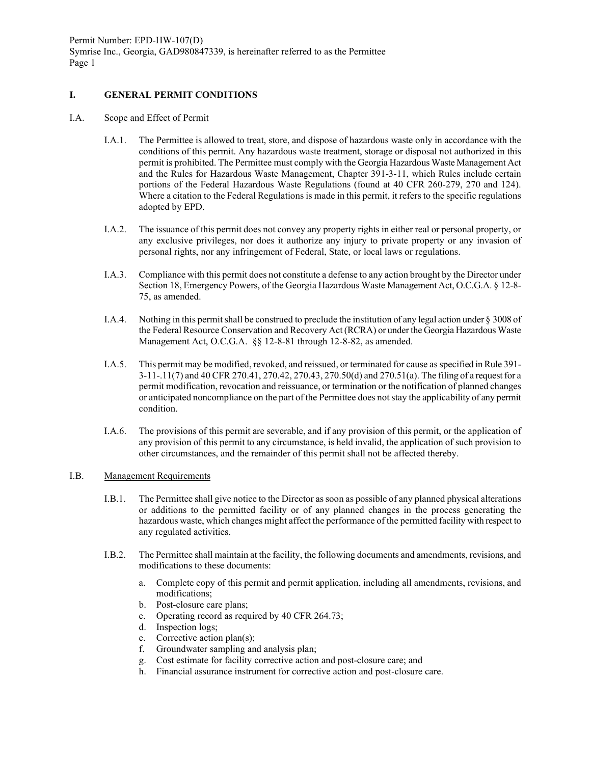# **I. GENERAL PERMIT CONDITIONS**

#### I.A. Scope and Effect of Permit

- I.A.1. The Permittee is allowed to treat, store, and dispose of hazardous waste only in accordance with the conditions of this permit. Any hazardous waste treatment, storage or disposal not authorized in this permit is prohibited. The Permittee must comply with the Georgia Hazardous Waste Management Act and the Rules for Hazardous Waste Management, Chapter 391-3-11, which Rules include certain portions of the Federal Hazardous Waste Regulations (found at 40 CFR 260-279, 270 and 124). Where a citation to the Federal Regulations is made in this permit, it refers to the specific regulations adopted by EPD.
- I.A.2. The issuance of this permit does not convey any property rights in either real or personal property, or any exclusive privileges, nor does it authorize any injury to private property or any invasion of personal rights, nor any infringement of Federal, State, or local laws or regulations.
- I.A.3. Compliance with this permit does not constitute a defense to any action brought by the Director under Section 18, Emergency Powers, of the Georgia Hazardous Waste Management Act, O.C.G.A. § 12-8- 75, as amended.
- I.A.4. Nothing in this permit shall be construed to preclude the institution of any legal action under § 3008 of the Federal Resource Conservation and Recovery Act (RCRA) or under the Georgia Hazardous Waste Management Act, O.C.G.A. §§ 12-8-81 through 12-8-82, as amended.
- I.A.5. This permit may be modified, revoked, and reissued, or terminated for cause as specified in Rule 391- 3-11-.11(7) and 40 CFR 270.41, 270.42, 270.43, 270.50(d) and 270.51(a). The filing of a request for a permit modification, revocation and reissuance, or termination or the notification of planned changes or anticipated noncompliance on the part of the Permittee does not stay the applicability of any permit condition.
- I.A.6. The provisions of this permit are severable, and if any provision of this permit, or the application of any provision of this permit to any circumstance, is held invalid, the application of such provision to other circumstances, and the remainder of this permit shall not be affected thereby.

#### I.B. Management Requirements

- I.B.1. The Permittee shall give notice to the Director as soon as possible of any planned physical alterations or additions to the permitted facility or of any planned changes in the process generating the hazardous waste, which changes might affect the performance of the permitted facility with respect to any regulated activities.
- I.B.2. The Permittee shall maintain at the facility, the following documents and amendments, revisions, and modifications to these documents:
	- a. Complete copy of this permit and permit application, including all amendments, revisions, and modifications;
	- b. Post-closure care plans;
	- c. Operating record as required by 40 CFR 264.73;
	- d. Inspection logs;
	- e. Corrective action plan(s);
	- f. Groundwater sampling and analysis plan;
	- g. Cost estimate for facility corrective action and post-closure care; and
	- h. Financial assurance instrument for corrective action and post-closure care.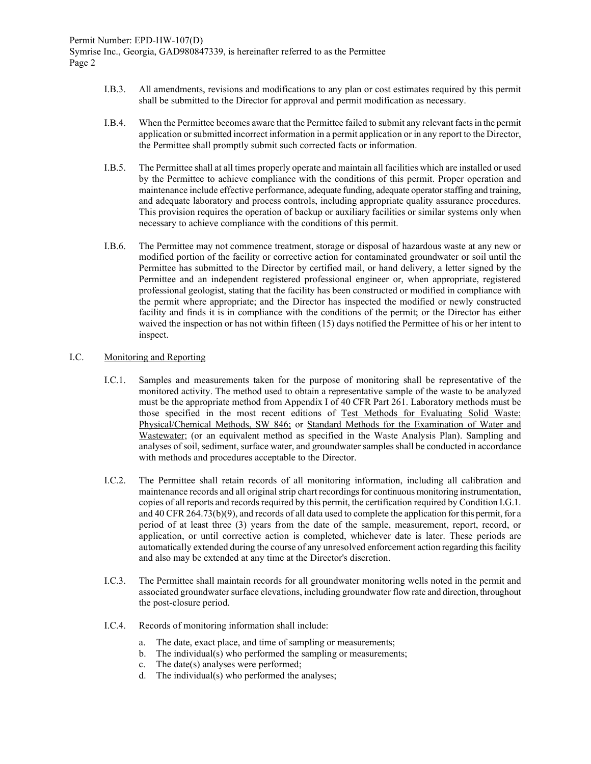- I.B.3. All amendments, revisions and modifications to any plan or cost estimates required by this permit shall be submitted to the Director for approval and permit modification as necessary.
- I.B.4. When the Permittee becomes aware that the Permittee failed to submit any relevant facts in the permit application or submitted incorrect information in a permit application or in any report to the Director, the Permittee shall promptly submit such corrected facts or information.
- I.B.5. The Permittee shall at all times properly operate and maintain all facilities which are installed or used by the Permittee to achieve compliance with the conditions of this permit. Proper operation and maintenance include effective performance, adequate funding, adequate operator staffing and training, and adequate laboratory and process controls, including appropriate quality assurance procedures. This provision requires the operation of backup or auxiliary facilities or similar systems only when necessary to achieve compliance with the conditions of this permit.
- I.B.6. The Permittee may not commence treatment, storage or disposal of hazardous waste at any new or modified portion of the facility or corrective action for contaminated groundwater or soil until the Permittee has submitted to the Director by certified mail, or hand delivery, a letter signed by the Permittee and an independent registered professional engineer or, when appropriate, registered professional geologist, stating that the facility has been constructed or modified in compliance with the permit where appropriate; and the Director has inspected the modified or newly constructed facility and finds it is in compliance with the conditions of the permit; or the Director has either waived the inspection or has not within fifteen (15) days notified the Permittee of his or her intent to inspect.

## I.C. Monitoring and Reporting

- I.C.1. Samples and measurements taken for the purpose of monitoring shall be representative of the monitored activity. The method used to obtain a representative sample of the waste to be analyzed must be the appropriate method from Appendix I of 40 CFR Part 261. Laboratory methods must be those specified in the most recent editions of Test Methods for Evaluating Solid Waste: Physical/Chemical Methods, SW 846; or Standard Methods for the Examination of Water and Wastewater; (or an equivalent method as specified in the Waste Analysis Plan). Sampling and analyses of soil, sediment, surface water, and groundwater samples shall be conducted in accordance with methods and procedures acceptable to the Director.
- I.C.2. The Permittee shall retain records of all monitoring information, including all calibration and maintenance records and all original strip chart recordings for continuous monitoring instrumentation, copies of all reports and records required by this permit, the certification required by Condition I.G.1. and 40 CFR 264.73(b)(9), and records of all data used to complete the application for this permit, for a period of at least three (3) years from the date of the sample, measurement, report, record, or application, or until corrective action is completed, whichever date is later. These periods are automatically extended during the course of any unresolved enforcement action regarding this facility and also may be extended at any time at the Director's discretion.
- I.C.3. The Permittee shall maintain records for all groundwater monitoring wells noted in the permit and associated groundwater surface elevations, including groundwater flow rate and direction, throughout the post-closure period.
- I.C.4. Records of monitoring information shall include:
	- a. The date, exact place, and time of sampling or measurements;
	- b. The individual(s) who performed the sampling or measurements;
	- c. The date(s) analyses were performed;
	- d. The individual(s) who performed the analyses;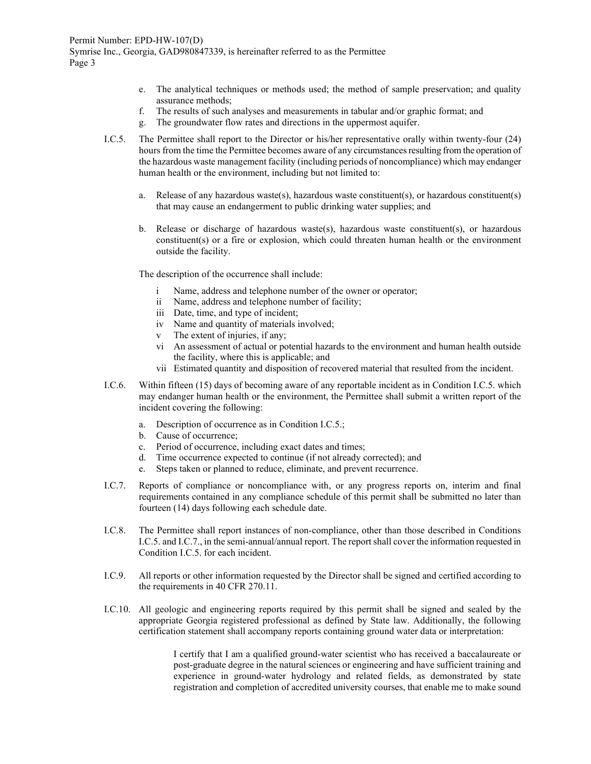- e. The analytical techniques or methods used; the method of sample preservation; and quality assurance methods;
- f. The results of such analyses and measurements in tabular and/or graphic format; and
- g. The groundwater flow rates and directions in the uppermost aquifer.
- I.C.5. The Permittee shall report to the Director or his/her representative orally within twenty-four (24) hours from the time the Permittee becomes aware of any circumstances resulting from the operation of the hazardous waste management facility (including periods of noncompliance) which may endanger human health or the environment, including but not limited to:
	- a. Release of any hazardous waste(s), hazardous waste constituent(s), or hazardous constituent(s) that may cause an endangerment to public drinking water supplies; and
	- b. Release or discharge of hazardous waste(s), hazardous waste constituent(s), or hazardous constituent(s) or a fire or explosion, which could threaten human health or the environment outside the facility.

The description of the occurrence shall include:

- Name, address and telephone number of the owner or operator;
- ii Name, address and telephone number of facility;
- iii Date, time, and type of incident;
- iv Name and quantity of materials involved;
- v The extent of injuries, if any;
- vi An assessment of actual or potential hazards to the environment and human health outside the facility, where this is applicable; and
- vii Estimated quantity and disposition of recovered material that resulted from the incident.
- I.C.6. Within fifteen (15) days of becoming aware of any reportable incident as in Condition I.C.5. which may endanger human health or the environment, the Permittee shall submit a written report of the incident covering the following:
	- a. Description of occurrence as in Condition I.C.5.;
	- b. Cause of occurrence;
	- c. Period of occurrence, including exact dates and times;
	- d. Time occurrence expected to continue (if not already corrected); and
	- e. Steps taken or planned to reduce, eliminate, and prevent recurrence.
- I.C.7. Reports of compliance or noncompliance with, or any progress reports on, interim and final requirements contained in any compliance schedule of this permit shall be submitted no later than fourteen (14) days following each schedule date.
- I.C.8. The Permittee shall report instances of non-compliance, other than those described in Conditions I.C.5. and I.C.7., in the semi-annual/annual report. The report shall cover the information requested in Condition I.C.5. for each incident.
- I.C.9. All reports or other information requested by the Director shall be signed and certified according to the requirements in 40 CFR 270.11.
- I.C.10. All geologic and engineering reports required by this permit shall be signed and sealed by the appropriate Georgia registered professional as defined by State law. Additionally, the following certification statement shall accompany reports containing ground water data or interpretation:

I certify that I am a qualified ground-water scientist who has received a baccalaureate or post-graduate degree in the natural sciences or engineering and have sufficient training and experience in ground-water hydrology and related fields, as demonstrated by state registration and completion of accredited university courses, that enable me to make sound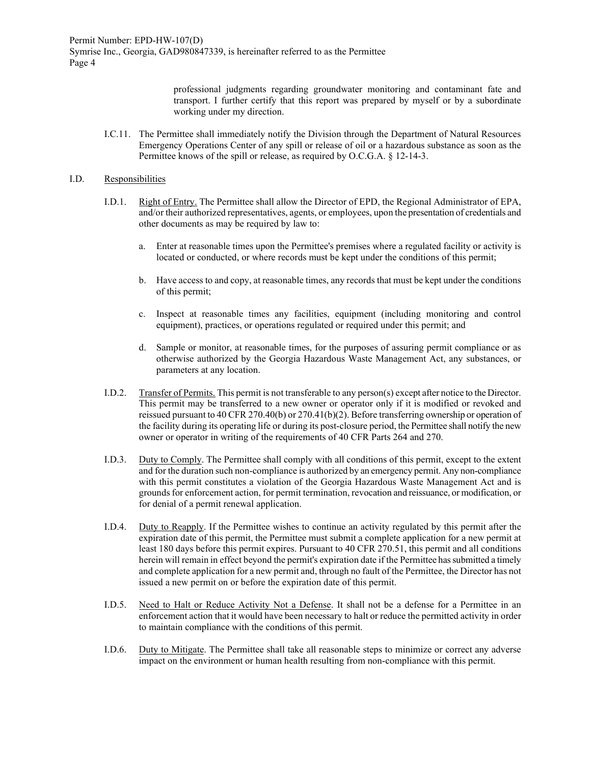> professional judgments regarding groundwater monitoring and contaminant fate and transport. I further certify that this report was prepared by myself or by a subordinate working under my direction.

I.C.11. The Permittee shall immediately notify the Division through the Department of Natural Resources Emergency Operations Center of any spill or release of oil or a hazardous substance as soon as the Permittee knows of the spill or release, as required by O.C.G.A. § 12-14-3.

#### I.D. Responsibilities

- I.D.1. Right of Entry. The Permittee shall allow the Director of EPD, the Regional Administrator of EPA, and/or their authorized representatives, agents, or employees, upon the presentation of credentials and other documents as may be required by law to:
	- a. Enter at reasonable times upon the Permittee's premises where a regulated facility or activity is located or conducted, or where records must be kept under the conditions of this permit;
	- b. Have access to and copy, at reasonable times, any records that must be kept under the conditions of this permit;
	- c. Inspect at reasonable times any facilities, equipment (including monitoring and control equipment), practices, or operations regulated or required under this permit; and
	- d. Sample or monitor, at reasonable times, for the purposes of assuring permit compliance or as otherwise authorized by the Georgia Hazardous Waste Management Act, any substances, or parameters at any location.
- I.D.2. Transfer of Permits. This permit is not transferable to any person(s) except after notice to the Director. This permit may be transferred to a new owner or operator only if it is modified or revoked and reissued pursuant to 40 CFR 270.40(b) or 270.41(b)(2). Before transferring ownership or operation of the facility during its operating life or during its post-closure period, the Permittee shall notify the new owner or operator in writing of the requirements of 40 CFR Parts 264 and 270.
- I.D.3. Duty to Comply. The Permittee shall comply with all conditions of this permit, except to the extent and for the duration such non-compliance is authorized by an emergency permit. Any non-compliance with this permit constitutes a violation of the Georgia Hazardous Waste Management Act and is grounds for enforcement action, for permit termination, revocation and reissuance, or modification, or for denial of a permit renewal application.
- I.D.4. Duty to Reapply. If the Permittee wishes to continue an activity regulated by this permit after the expiration date of this permit, the Permittee must submit a complete application for a new permit at least 180 days before this permit expires. Pursuant to 40 CFR 270.51, this permit and all conditions herein will remain in effect beyond the permit's expiration date if the Permittee has submitted a timely and complete application for a new permit and, through no fault of the Permittee, the Director has not issued a new permit on or before the expiration date of this permit.
- I.D.5. Need to Halt or Reduce Activity Not a Defense. It shall not be a defense for a Permittee in an enforcement action that it would have been necessary to halt or reduce the permitted activity in order to maintain compliance with the conditions of this permit.
- I.D.6. Duty to Mitigate. The Permittee shall take all reasonable steps to minimize or correct any adverse impact on the environment or human health resulting from non-compliance with this permit.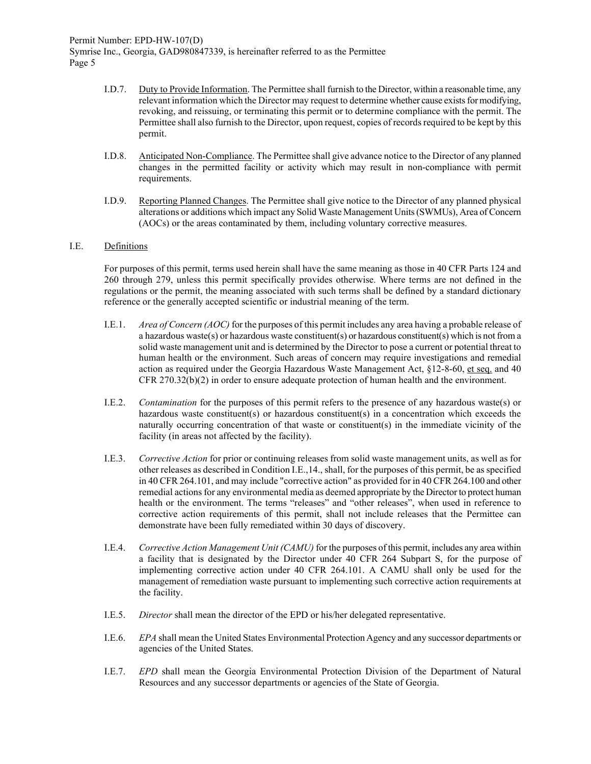- I.D.7. Duty to Provide Information. The Permittee shall furnish to the Director, within a reasonable time, any relevant information which the Director may request to determine whether cause exists for modifying, revoking, and reissuing, or terminating this permit or to determine compliance with the permit. The Permittee shall also furnish to the Director, upon request, copies of records required to be kept by this permit.
- I.D.8. Anticipated Non-Compliance. The Permittee shall give advance notice to the Director of any planned changes in the permitted facility or activity which may result in non-compliance with permit requirements.
- I.D.9. Reporting Planned Changes. The Permittee shall give notice to the Director of any planned physical alterations or additions which impact any Solid Waste Management Units (SWMUs), Area of Concern (AOCs) or the areas contaminated by them, including voluntary corrective measures.

## I.E. Definitions

For purposes of this permit, terms used herein shall have the same meaning as those in 40 CFR Parts 124 and 260 through 279, unless this permit specifically provides otherwise. Where terms are not defined in the regulations or the permit, the meaning associated with such terms shall be defined by a standard dictionary reference or the generally accepted scientific or industrial meaning of the term.

- I.E.1. *Area of Concern (AOC)* for the purposes of this permit includes any area having a probable release of a hazardous waste(s) or hazardous waste constituent(s) or hazardous constituent(s) which is not from a solid waste management unit and is determined by the Director to pose a current or potential threat to human health or the environment. Such areas of concern may require investigations and remedial action as required under the Georgia Hazardous Waste Management Act, §12-8-60, et seq. and 40 CFR 270.32(b)(2) in order to ensure adequate protection of human health and the environment.
- I.E.2. *Contamination* for the purposes of this permit refers to the presence of any hazardous waste(s) or hazardous waste constituent(s) or hazardous constituent(s) in a concentration which exceeds the naturally occurring concentration of that waste or constituent(s) in the immediate vicinity of the facility (in areas not affected by the facility).
- I.E.3. *Corrective Action* for prior or continuing releases from solid waste management units, as well as for other releases as described in Condition I.E.,14., shall, for the purposes of this permit, be as specified in 40 CFR 264.101, and may include "corrective action" as provided for in 40 CFR 264.100 and other remedial actions for any environmental media as deemed appropriate by the Director to protect human health or the environment. The terms "releases" and "other releases", when used in reference to corrective action requirements of this permit, shall not include releases that the Permittee can demonstrate have been fully remediated within 30 days of discovery.
- I.E.4. *Corrective Action Management Unit (CAMU)* for the purposes of this permit, includes any area within a facility that is designated by the Director under 40 CFR 264 Subpart S, for the purpose of implementing corrective action under 40 CFR 264.101. A CAMU shall only be used for the management of remediation waste pursuant to implementing such corrective action requirements at the facility.
- I.E.5. *Director* shall mean the director of the EPD or his/her delegated representative.
- I.E.6. *EPA* shall mean the United States Environmental Protection Agency and any successor departments or agencies of the United States.
- I.E.7. *EPD* shall mean the Georgia Environmental Protection Division of the Department of Natural Resources and any successor departments or agencies of the State of Georgia.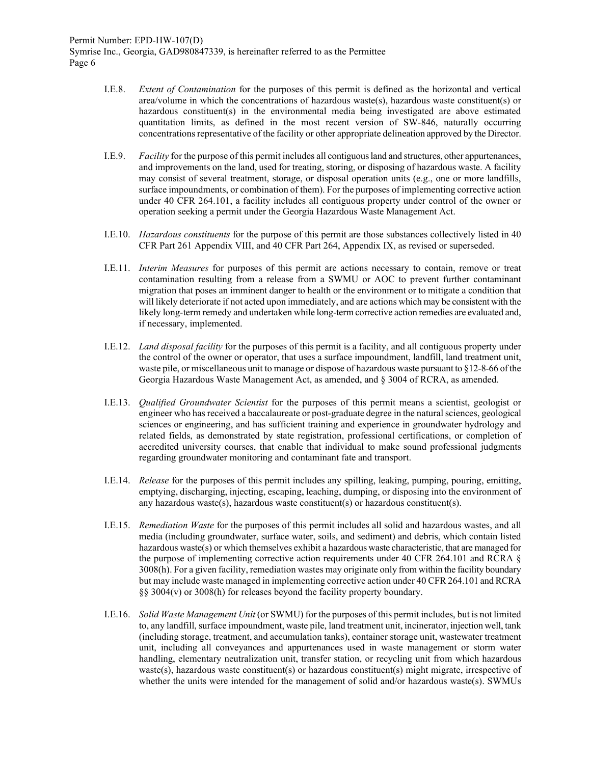- I.E.8. *Extent of Contamination* for the purposes of this permit is defined as the horizontal and vertical area/volume in which the concentrations of hazardous waste(s), hazardous waste constituent(s) or hazardous constituent(s) in the environmental media being investigated are above estimated quantitation limits, as defined in the most recent version of SW-846, naturally occurring concentrations representative of the facility or other appropriate delineation approved by the Director.
- I.E.9. *Facility* for the purpose of this permit includes all contiguous land and structures, other appurtenances, and improvements on the land, used for treating, storing, or disposing of hazardous waste. A facility may consist of several treatment, storage, or disposal operation units (e.g., one or more landfills, surface impoundments, or combination of them). For the purposes of implementing corrective action under 40 CFR 264.101, a facility includes all contiguous property under control of the owner or operation seeking a permit under the Georgia Hazardous Waste Management Act.
- I.E.10. *Hazardous constituents* for the purpose of this permit are those substances collectively listed in 40 CFR Part 261 Appendix VIII, and 40 CFR Part 264, Appendix IX, as revised or superseded.
- I.E.11. *Interim Measures* for purposes of this permit are actions necessary to contain, remove or treat contamination resulting from a release from a SWMU or AOC to prevent further contaminant migration that poses an imminent danger to health or the environment or to mitigate a condition that will likely deteriorate if not acted upon immediately, and are actions which may be consistent with the likely long-term remedy and undertaken while long-term corrective action remedies are evaluated and, if necessary, implemented.
- I.E.12. *Land disposal facility* for the purposes of this permit is a facility, and all contiguous property under the control of the owner or operator, that uses a surface impoundment, landfill, land treatment unit, waste pile, or miscellaneous unit to manage or dispose of hazardous waste pursuant to §12-8-66 of the Georgia Hazardous Waste Management Act, as amended, and § 3004 of RCRA, as amended.
- I.E.13. *Qualified Groundwater Scientist* for the purposes of this permit means a scientist, geologist or engineer who has received a baccalaureate or post-graduate degree in the natural sciences, geological sciences or engineering, and has sufficient training and experience in groundwater hydrology and related fields, as demonstrated by state registration, professional certifications, or completion of accredited university courses, that enable that individual to make sound professional judgments regarding groundwater monitoring and contaminant fate and transport.
- I.E.14. *Release* for the purposes of this permit includes any spilling, leaking, pumping, pouring, emitting, emptying, discharging, injecting, escaping, leaching, dumping, or disposing into the environment of any hazardous waste(s), hazardous waste constituent(s) or hazardous constituent(s).
- I.E.15. *Remediation Waste* for the purposes of this permit includes all solid and hazardous wastes, and all media (including groundwater, surface water, soils, and sediment) and debris, which contain listed hazardous waste(s) or which themselves exhibit a hazardous waste characteristic, that are managed for the purpose of implementing corrective action requirements under 40 CFR 264.101 and RCRA  $\S$ 3008(h). For a given facility, remediation wastes may originate only from within the facility boundary but may include waste managed in implementing corrective action under 40 CFR 264.101 and RCRA  $\S$ § 3004(v) or 3008(h) for releases beyond the facility property boundary.
- I.E.16. *Solid Waste Management Unit* (or SWMU) for the purposes of this permit includes, but is not limited to, any landfill, surface impoundment, waste pile, land treatment unit, incinerator, injection well, tank (including storage, treatment, and accumulation tanks), container storage unit, wastewater treatment unit, including all conveyances and appurtenances used in waste management or storm water handling, elementary neutralization unit, transfer station, or recycling unit from which hazardous waste(s), hazardous waste constituent(s) or hazardous constituent(s) might migrate, irrespective of whether the units were intended for the management of solid and/or hazardous waste(s). SWMUs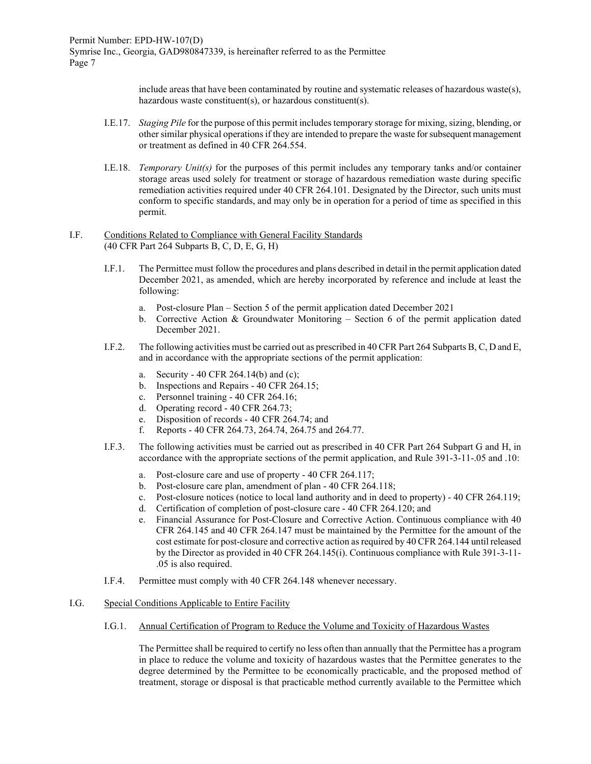include areas that have been contaminated by routine and systematic releases of hazardous waste(s), hazardous waste constituent(s), or hazardous constituent(s).

- I.E.17. *Staging Pile* for the purpose of this permit includes temporary storage for mixing, sizing, blending, or other similar physical operations if they are intended to prepare the waste for subsequent management or treatment as defined in 40 CFR 264.554.
- I.E.18. *Temporary Unit(s)* for the purposes of this permit includes any temporary tanks and/or container storage areas used solely for treatment or storage of hazardous remediation waste during specific remediation activities required under 40 CFR 264.101. Designated by the Director, such units must conform to specific standards, and may only be in operation for a period of time as specified in this permit.
- I.F. Conditions Related to Compliance with General Facility Standards (40 CFR Part 264 Subparts B, C, D, E, G, H)
	- I.F.1. The Permittee must follow the procedures and plans described in detail in the permit application dated December 2021, as amended, which are hereby incorporated by reference and include at least the following:
		- a. Post-closure Plan Section 5 of the permit application dated December 2021
		- b. Corrective Action & Groundwater Monitoring Section 6 of the permit application dated December 2021.
	- I.F.2. The following activities must be carried out as prescribed in 40 CFR Part 264 Subparts B, C, D and E, and in accordance with the appropriate sections of the permit application:
		- a. Security 40 CFR 264.14(b) and (c);
		- b. Inspections and Repairs 40 CFR 264.15;
		- c. Personnel training 40 CFR 264.16;
		- d. Operating record 40 CFR 264.73;
		- e. Disposition of records 40 CFR 264.74; and
		- f. Reports 40 CFR 264.73, 264.74, 264.75 and 264.77.
	- I.F.3. The following activities must be carried out as prescribed in 40 CFR Part 264 Subpart G and H, in accordance with the appropriate sections of the permit application, and Rule 391-3-11-.05 and .10:
		- a. Post-closure care and use of property 40 CFR 264.117;
		- b. Post-closure care plan, amendment of plan 40 CFR 264.118;
		- c. Post-closure notices (notice to local land authority and in deed to property) 40 CFR 264.119;
		- d. Certification of completion of post-closure care 40 CFR 264.120; and
		- e. Financial Assurance for Post-Closure and Corrective Action. Continuous compliance with 40 CFR 264.145 and 40 CFR 264.147 must be maintained by the Permittee for the amount of the cost estimate for post-closure and corrective action as required by 40 CFR 264.144 until released by the Director as provided in 40 CFR 264.145(i). Continuous compliance with Rule 391-3-11- .05 is also required.
	- I.F.4. Permittee must comply with 40 CFR 264.148 whenever necessary.

#### I.G. Special Conditions Applicable to Entire Facility

I.G.1. Annual Certification of Program to Reduce the Volume and Toxicity of Hazardous Wastes

The Permittee shall be required to certify no less often than annually that the Permittee has a program in place to reduce the volume and toxicity of hazardous wastes that the Permittee generates to the degree determined by the Permittee to be economically practicable, and the proposed method of treatment, storage or disposal is that practicable method currently available to the Permittee which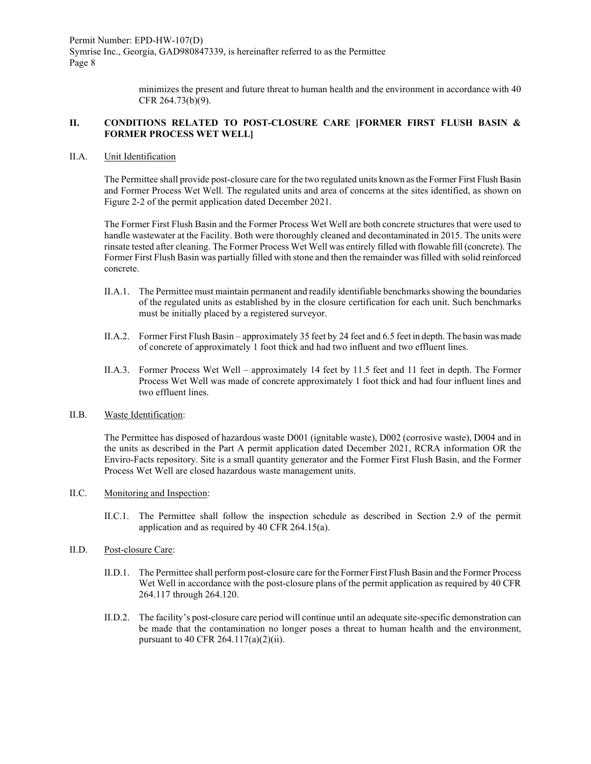> minimizes the present and future threat to human health and the environment in accordance with 40 CFR 264.73(b)(9).

## **II. CONDITIONS RELATED TO POST-CLOSURE CARE [FORMER FIRST FLUSH BASIN & FORMER PROCESS WET WELL]**

## II.A. Unit Identification

The Permittee shall provide post-closure care for the two regulated units known as the Former First Flush Basin and Former Process Wet Well. The regulated units and area of concerns at the sites identified, as shown on Figure 2-2 of the permit application dated December 2021.

The Former First Flush Basin and the Former Process Wet Well are both concrete structures that were used to handle wastewater at the Facility. Both were thoroughly cleaned and decontaminated in 2015. The units were rinsate tested after cleaning. The Former Process Wet Well was entirely filled with flowable fill (concrete). The Former First Flush Basin was partially filled with stone and then the remainder was filled with solid reinforced concrete.

- II.A.1. The Permittee must maintain permanent and readily identifiable benchmarks showing the boundaries of the regulated units as established by in the closure certification for each unit. Such benchmarks must be initially placed by a registered surveyor.
- II.A.2. Former First Flush Basin approximately 35 feet by 24 feet and 6.5 feet in depth. The basin was made of concrete of approximately 1 foot thick and had two influent and two effluent lines.
- II.A.3. Former Process Wet Well approximately 14 feet by 11.5 feet and 11 feet in depth. The Former Process Wet Well was made of concrete approximately 1 foot thick and had four influent lines and two effluent lines.

#### II.B. Waste Identification:

The Permittee has disposed of hazardous waste D001 (ignitable waste), D002 (corrosive waste), D004 and in the units as described in the Part A permit application dated December 2021, RCRA information OR the Enviro-Facts repository. Site is a small quantity generator and the Former First Flush Basin, and the Former Process Wet Well are closed hazardous waste management units.

## II.C. Monitoring and Inspection:

II.C.1. The Permittee shall follow the inspection schedule as described in Section 2.9 of the permit application and as required by 40 CFR 264.15(a).

## II.D. Post-closure Care:

- II.D.1. The Permittee shall perform post-closure care for the Former First Flush Basin and the Former Process Wet Well in accordance with the post-closure plans of the permit application as required by 40 CFR 264.117 through 264.120.
- II.D.2. The facility's post-closure care period will continue until an adequate site-specific demonstration can be made that the contamination no longer poses a threat to human health and the environment, pursuant to 40 CFR 264.117(a)(2)(ii).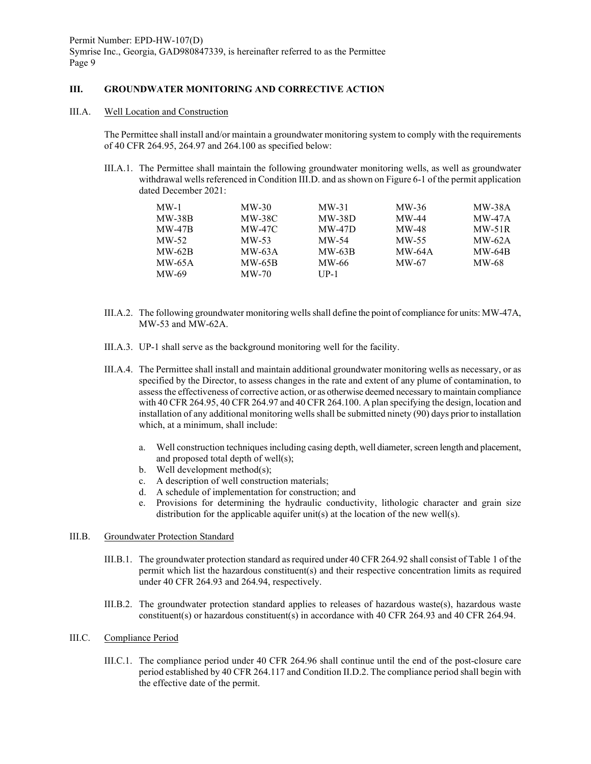## **III. GROUNDWATER MONITORING AND CORRECTIVE ACTION**

III.A. Well Location and Construction

The Permittee shall install and/or maintain a groundwater monitoring system to comply with the requirements of 40 CFR 264.95, 264.97 and 264.100 as specified below:

III.A.1. The Permittee shall maintain the following groundwater monitoring wells, as well as groundwater withdrawal wells referenced in Condition III.D. and as shown on Figure 6-1 of the permit application dated December 2021:

| $MW-1$        | $MW-30$  | $MW-31$  | $MW-36$       | <b>MW-38A</b> |
|---------------|----------|----------|---------------|---------------|
| $MW-38B$      | MW-38C   | $MW-38D$ | MW-44         | $MW-47A$      |
| <b>MW-47B</b> | MW-47C   | $MW-47D$ | MW-48         | $MW-51R$      |
| $MW-52$       | $MW-53$  | $MW-54$  | $MW-55$       | $MW-62A$      |
| $MW-62B$      | $MW-63A$ | $MW-63B$ | <b>MW-64A</b> | <b>MW-64B</b> |
| MW-65A        | $MW-65B$ | MW-66    | MW-67         | MW-68         |
| MW-69         | $MW-70$  | $UP-1$   |               |               |

- III.A.2. The following groundwater monitoring wells shall define the point of compliance for units: MW-47A, MW-53 and MW-62A.
- III.A.3. UP-1 shall serve as the background monitoring well for the facility.
- III.A.4. The Permittee shall install and maintain additional groundwater monitoring wells as necessary, or as specified by the Director, to assess changes in the rate and extent of any plume of contamination, to assess the effectiveness of corrective action, or as otherwise deemed necessary to maintain compliance with 40 CFR 264.95, 40 CFR 264.97 and 40 CFR 264.100. A plan specifying the design, location and installation of any additional monitoring wells shall be submitted ninety (90) days prior to installation which, at a minimum, shall include:
	- a. Well construction techniques including casing depth, well diameter, screen length and placement, and proposed total depth of well(s);
	- b. Well development method(s);
	- c. A description of well construction materials;
	- d. A schedule of implementation for construction; and
	- e. Provisions for determining the hydraulic conductivity, lithologic character and grain size distribution for the applicable aquifer unit(s) at the location of the new well(s).

#### III.B. Groundwater Protection Standard

- III.B.1. The groundwater protection standard as required under 40 CFR 264.92 shall consist of Table 1 of the permit which list the hazardous constituent(s) and their respective concentration limits as required under 40 CFR 264.93 and 264.94, respectively.
- III.B.2. The groundwater protection standard applies to releases of hazardous waste(s), hazardous waste constituent(s) or hazardous constituent(s) in accordance with 40 CFR 264.93 and 40 CFR 264.94.
- III.C. Compliance Period
	- III.C.1. The compliance period under 40 CFR 264.96 shall continue until the end of the post-closure care period established by 40 CFR 264.117 and Condition II.D.2. The compliance period shall begin with the effective date of the permit.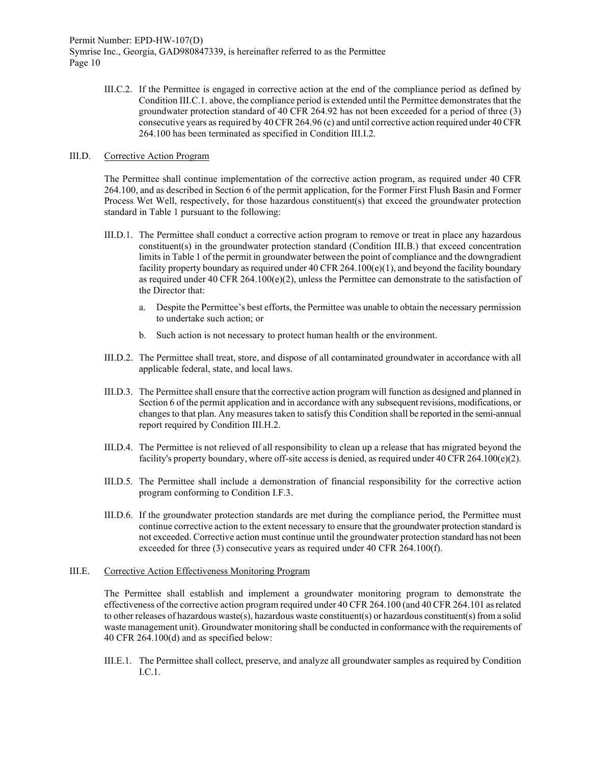> III.C.2. If the Permittee is engaged in corrective action at the end of the compliance period as defined by Condition III.C.1. above, the compliance period is extended until the Permittee demonstrates that the groundwater protection standard of 40 CFR 264.92 has not been exceeded for a period of three (3) consecutive years as required by 40 CFR 264.96 (c) and until corrective action required under 40 CFR 264.100 has been terminated as specified in Condition III.I.2.

#### III.D. Corrective Action Program

The Permittee shall continue implementation of the corrective action program, as required under 40 CFR 264.100, and as described in Section 6 of the permit application, for the Former First Flush Basin and Former Process Wet Well, respectively, for those hazardous constituent(s) that exceed the groundwater protection standard in Table 1 pursuant to the following:

- III.D.1. The Permittee shall conduct a corrective action program to remove or treat in place any hazardous constituent(s) in the groundwater protection standard (Condition III.B.) that exceed concentration limits in Table 1 of the permit in groundwater between the point of compliance and the downgradient facility property boundary as required under 40 CFR 264.100(e)(1), and beyond the facility boundary as required under 40 CFR 264.100(e)(2), unless the Permittee can demonstrate to the satisfaction of the Director that:
	- a. Despite the Permittee's best efforts, the Permittee was unable to obtain the necessary permission to undertake such action; or
	- b. Such action is not necessary to protect human health or the environment.
- III.D.2. The Permittee shall treat, store, and dispose of all contaminated groundwater in accordance with all applicable federal, state, and local laws.
- III.D.3. The Permittee shall ensure that the corrective action program will function as designed and planned in Section 6 of the permit application and in accordance with any subsequent revisions, modifications, or changes to that plan. Any measures taken to satisfy this Condition shall be reported in the semi-annual report required by Condition III.H.2.
- III.D.4. The Permittee is not relieved of all responsibility to clean up a release that has migrated beyond the facility's property boundary, where off-site access is denied, as required under 40 CFR 264.100(e)(2).
- III.D.5. The Permittee shall include a demonstration of financial responsibility for the corrective action program conforming to Condition I.F.3.
- III.D.6. If the groundwater protection standards are met during the compliance period, the Permittee must continue corrective action to the extent necessary to ensure that the groundwater protection standard is not exceeded. Corrective action must continue until the groundwater protection standard has not been exceeded for three (3) consecutive years as required under 40 CFR 264.100(f).

#### III.E. Corrective Action Effectiveness Monitoring Program

The Permittee shall establish and implement a groundwater monitoring program to demonstrate the effectiveness of the corrective action program required under 40 CFR 264.100 (and 40 CFR 264.101 as related to other releases of hazardous waste(s), hazardous waste constituent(s) or hazardous constituent(s) from a solid waste management unit). Groundwater monitoring shall be conducted in conformance with the requirements of 40 CFR 264.100(d) and as specified below:

III.E.1. The Permittee shall collect, preserve, and analyze all groundwater samples as required by Condition I.C.1.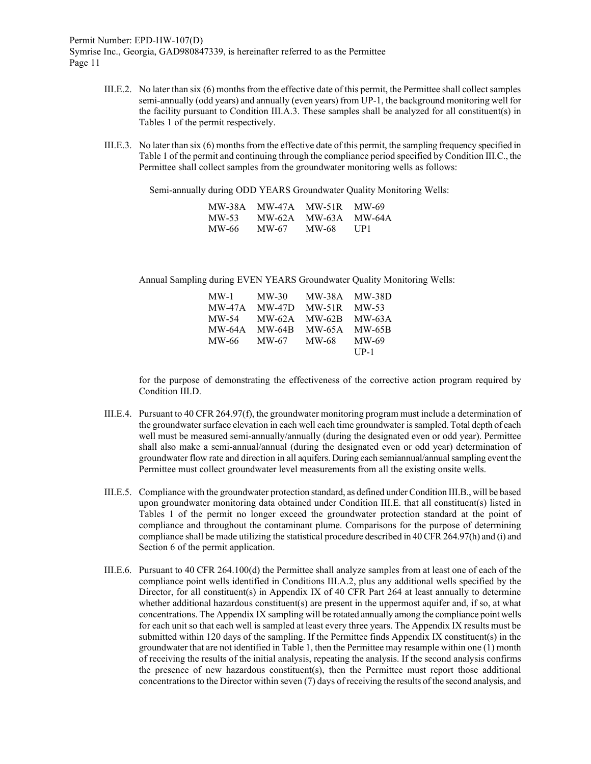- III.E.2. No later than six (6) months from the effective date of this permit, the Permittee shall collect samples semi-annually (odd years) and annually (even years) from UP-1, the background monitoring well for the facility pursuant to Condition III.A.3. These samples shall be analyzed for all constituent(s) in Tables 1 of the permit respectively.
- III.E.3. No later than six (6) months from the effective date of this permit, the sampling frequency specified in Table 1 of the permit and continuing through the compliance period specified by Condition III.C., the Permittee shall collect samples from the groundwater monitoring wells as follows:

Semi-annually during ODD YEARS Groundwater Quality Monitoring Wells:

| MW-38A | MW-47A | <b>MW-51R</b> | MW-69  |
|--------|--------|---------------|--------|
| MW-53  | MW-62A | MW-63A        | MW-64A |
| MW-66  | MW-67  | MW-68         | UP1    |

Annual Sampling during EVEN YEARS Groundwater Quality Monitoring Wells:

| $MW-1$   | $MW-30$       | <b>MW-38A</b> | <b>MW-38D</b> |
|----------|---------------|---------------|---------------|
| $MW-47A$ | $MW-47D$      | $MW-51R$      | $MW-53$       |
| MW-54    | $MW-62A$      | <b>MW-62B</b> | $MW-63A$      |
| $MW-64A$ | <b>MW-64B</b> | <b>MW-65A</b> | <b>MW-65B</b> |
| MW-66    | MW-67         | MW-68         | $MW-69$       |
|          |               |               | $UP-1$        |

for the purpose of demonstrating the effectiveness of the corrective action program required by Condition III.D.

- III.E.4. Pursuant to 40 CFR 264.97(f), the groundwater monitoring program must include a determination of the groundwater surface elevation in each well each time groundwater is sampled. Total depth of each well must be measured semi-annually/annually (during the designated even or odd year). Permittee shall also make a semi-annual/annual (during the designated even or odd year) determination of groundwater flow rate and direction in all aquifers. During each semiannual/annual sampling event the Permittee must collect groundwater level measurements from all the existing onsite wells.
- III.E.5. Compliance with the groundwater protection standard, as defined under Condition III.B., will be based upon groundwater monitoring data obtained under Condition III.E. that all constituent(s) listed in Tables 1 of the permit no longer exceed the groundwater protection standard at the point of compliance and throughout the contaminant plume. Comparisons for the purpose of determining compliance shall be made utilizing the statistical procedure described in 40 CFR 264.97(h) and (i) and Section 6 of the permit application.
- III.E.6. Pursuant to 40 CFR 264.100(d) the Permittee shall analyze samples from at least one of each of the compliance point wells identified in Conditions III.A.2, plus any additional wells specified by the Director, for all constituent(s) in Appendix IX of 40 CFR Part 264 at least annually to determine whether additional hazardous constituent(s) are present in the uppermost aquifer and, if so, at what concentrations. The Appendix IX sampling will be rotated annually among the compliance point wells for each unit so that each well is sampled at least every three years. The Appendix IX results must be submitted within 120 days of the sampling. If the Permittee finds Appendix IX constituent(s) in the groundwater that are not identified in Table 1, then the Permittee may resample within one (1) month of receiving the results of the initial analysis, repeating the analysis. If the second analysis confirms the presence of new hazardous constituent(s), then the Permittee must report those additional concentrations to the Director within seven (7) days of receiving the results of the second analysis, and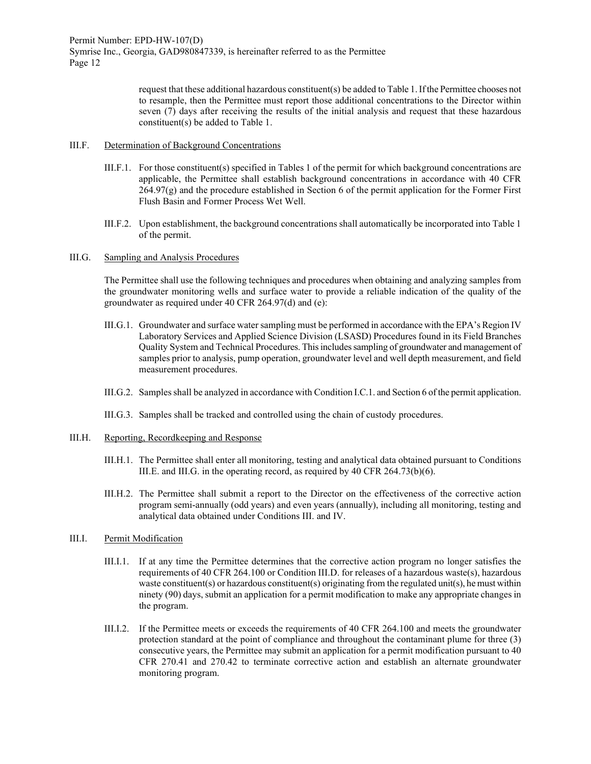> request that these additional hazardous constituent(s) be added to Table 1. If the Permittee chooses not to resample, then the Permittee must report those additional concentrations to the Director within seven (7) days after receiving the results of the initial analysis and request that these hazardous constituent(s) be added to Table 1.

#### III.F. Determination of Background Concentrations

- III.F.1. For those constituent(s) specified in Tables 1 of the permit for which background concentrations are applicable, the Permittee shall establish background concentrations in accordance with 40 CFR  $264.97(g)$  and the procedure established in Section 6 of the permit application for the Former First Flush Basin and Former Process Wet Well.
- III.F.2. Upon establishment, the background concentrations shall automatically be incorporated into Table 1 of the permit.

### III.G. Sampling and Analysis Procedures

The Permittee shall use the following techniques and procedures when obtaining and analyzing samples from the groundwater monitoring wells and surface water to provide a reliable indication of the quality of the groundwater as required under 40 CFR 264.97(d) and (e):

- III.G.1. Groundwater and surface water sampling must be performed in accordance with the EPA's Region IV Laboratory Services and Applied Science Division (LSASD) Procedures found in its Field Branches Quality System and Technical Procedures. This includes sampling of groundwater and management of samples prior to analysis, pump operation, groundwater level and well depth measurement, and field measurement procedures.
- III.G.2. Samples shall be analyzed in accordance with Condition I.C.1. and Section 6 of the permit application.
- III.G.3. Samples shall be tracked and controlled using the chain of custody procedures.
- III.H. Reporting, Recordkeeping and Response
	- III.H.1. The Permittee shall enter all monitoring, testing and analytical data obtained pursuant to Conditions III.E. and III.G. in the operating record, as required by 40 CFR 264.73(b)(6).
	- III.H.2. The Permittee shall submit a report to the Director on the effectiveness of the corrective action program semi-annually (odd years) and even years (annually), including all monitoring, testing and analytical data obtained under Conditions III. and IV.

## III.I. Permit Modification

- III.I.1. If at any time the Permittee determines that the corrective action program no longer satisfies the requirements of 40 CFR 264.100 or Condition III.D. for releases of a hazardous waste(s), hazardous waste constituent(s) or hazardous constituent(s) originating from the regulated unit(s), he must within ninety (90) days, submit an application for a permit modification to make any appropriate changes in the program.
- III.I.2. If the Permittee meets or exceeds the requirements of 40 CFR 264.100 and meets the groundwater protection standard at the point of compliance and throughout the contaminant plume for three (3) consecutive years, the Permittee may submit an application for a permit modification pursuant to 40 CFR 270.41 and 270.42 to terminate corrective action and establish an alternate groundwater monitoring program.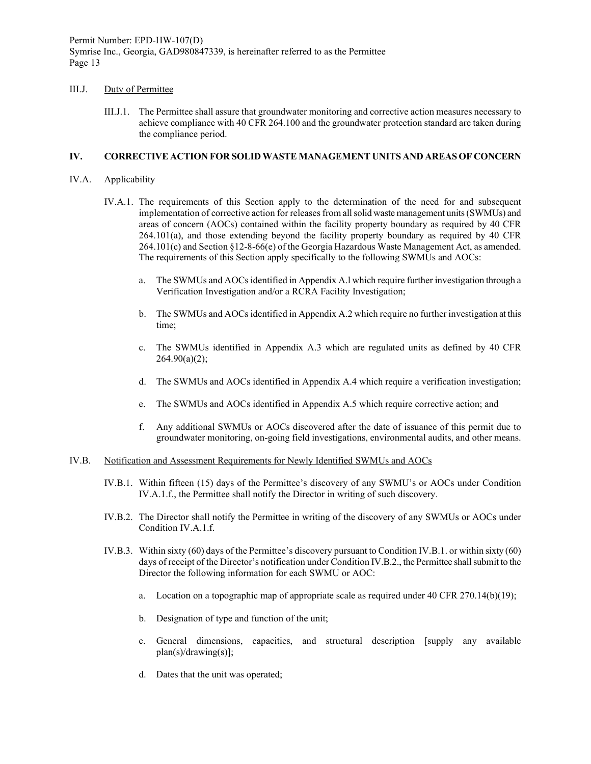## III.J. Duty of Permittee

III.J.1. The Permittee shall assure that groundwater monitoring and corrective action measures necessary to achieve compliance with 40 CFR 264.100 and the groundwater protection standard are taken during the compliance period.

## **IV. CORRECTIVE ACTION FOR SOLID WASTE MANAGEMENT UNITS AND AREAS OF CONCERN**

## IV.A. Applicability

- IV.A.1. The requirements of this Section apply to the determination of the need for and subsequent implementation of corrective action for releases from all solid waste management units (SWMUs) and areas of concern (AOCs) contained within the facility property boundary as required by 40 CFR 264.101(a), and those extending beyond the facility property boundary as required by 40 CFR 264.101(c) and Section §12-8-66(e) of the Georgia Hazardous Waste Management Act, as amended. The requirements of this Section apply specifically to the following SWMUs and AOCs:
	- a. The SWMUs and AOCs identified in Appendix A.l which require further investigation through a Verification Investigation and/or a RCRA Facility Investigation;
	- b. The SWMUs and AOCsidentified in Appendix A.2 which require no further investigation at this time;
	- c. The SWMUs identified in Appendix A.3 which are regulated units as defined by 40 CFR  $264.90(a)(2)$ ;
	- d. The SWMUs and AOCs identified in Appendix A.4 which require a verification investigation;
	- e. The SWMUs and AOCs identified in Appendix A.5 which require corrective action; and
	- f. Any additional SWMUs or AOCs discovered after the date of issuance of this permit due to groundwater monitoring, on-going field investigations, environmental audits, and other means.

## IV.B. Notification and Assessment Requirements for Newly Identified SWMUs and AOCs

- IV.B.1. Within fifteen (15) days of the Permittee's discovery of any SWMU's or AOCs under Condition IV.A.1.f., the Permittee shall notify the Director in writing of such discovery.
- IV.B.2. The Director shall notify the Permittee in writing of the discovery of any SWMUs or AOCs under Condition IV.A.1.f.
- IV.B.3. Within sixty (60) days of the Permittee's discovery pursuant to Condition IV.B.1. or within sixty (60) days of receipt of the Director's notification under Condition IV.B.2., the Permittee shall submit to the Director the following information for each SWMU or AOC:
	- a. Location on a topographic map of appropriate scale as required under 40 CFR 270.14(b)(19);
	- b. Designation of type and function of the unit;
	- c. General dimensions, capacities, and structural description [supply any available plan(s)/drawing(s)];
	- d. Dates that the unit was operated;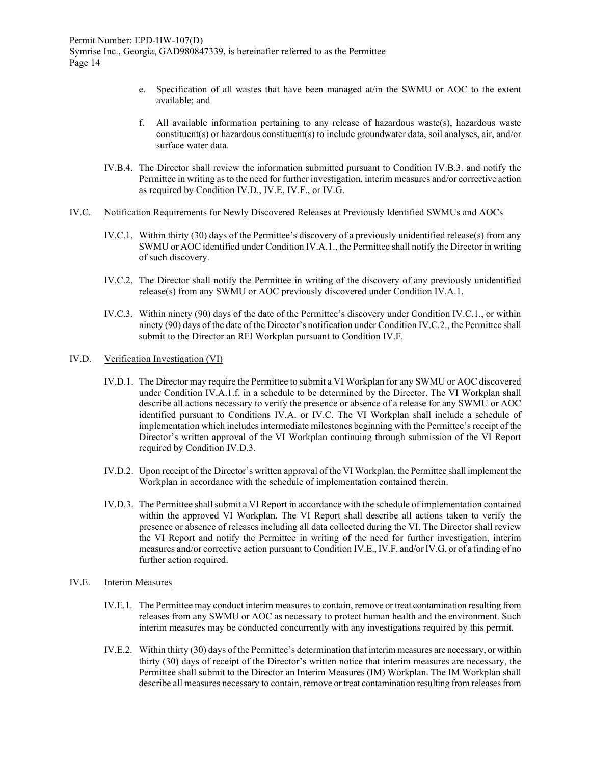- e. Specification of all wastes that have been managed at/in the SWMU or AOC to the extent available; and
- f. All available information pertaining to any release of hazardous waste(s), hazardous waste constituent(s) or hazardous constituent(s) to include groundwater data, soil analyses, air, and/or surface water data.
- IV.B.4. The Director shall review the information submitted pursuant to Condition IV.B.3. and notify the Permittee in writing as to the need for further investigation, interim measures and/or corrective action as required by Condition IV.D., IV.E, IV.F., or IV.G.

#### IV.C. Notification Requirements for Newly Discovered Releases at Previously Identified SWMUs and AOCs

- IV.C.1. Within thirty (30) days of the Permittee's discovery of a previously unidentified release(s) from any SWMU or AOC identified under Condition IV.A.1., the Permittee shall notify the Director in writing of such discovery.
- IV.C.2. The Director shall notify the Permittee in writing of the discovery of any previously unidentified release(s) from any SWMU or AOC previously discovered under Condition IV.A.1.
- IV.C.3. Within ninety (90) days of the date of the Permittee's discovery under Condition IV.C.1., or within ninety (90) days of the date of the Director's notification under Condition IV.C.2., the Permittee shall submit to the Director an RFI Workplan pursuant to Condition IV.F.

#### IV.D. Verification Investigation (VI)

- IV.D.1. The Director may require the Permittee to submit a VI Workplan for any SWMU or AOC discovered under Condition IV.A.1.f. in a schedule to be determined by the Director. The VI Workplan shall describe all actions necessary to verify the presence or absence of a release for any SWMU or AOC identified pursuant to Conditions IV.A. or IV.C. The VI Workplan shall include a schedule of implementation which includes intermediate milestones beginning with the Permittee's receipt of the Director's written approval of the VI Workplan continuing through submission of the VI Report required by Condition IV.D.3.
- IV.D.2. Upon receipt of the Director's written approval of the VI Workplan, the Permittee shall implement the Workplan in accordance with the schedule of implementation contained therein.
- IV.D.3. The Permittee shall submit a VI Report in accordance with the schedule of implementation contained within the approved VI Workplan. The VI Report shall describe all actions taken to verify the presence or absence of releases including all data collected during the VI. The Director shall review the VI Report and notify the Permittee in writing of the need for further investigation, interim measures and/or corrective action pursuant to Condition IV.E., IV.F. and/or IV.G, or of a finding of no further action required.

#### IV.E. Interim Measures

- IV.E.1. The Permittee may conduct interim measures to contain, remove or treat contamination resulting from releases from any SWMU or AOC as necessary to protect human health and the environment. Such interim measures may be conducted concurrently with any investigations required by this permit.
- IV.E.2. Within thirty (30) days of the Permittee's determination that interim measures are necessary, or within thirty (30) days of receipt of the Director's written notice that interim measures are necessary, the Permittee shall submit to the Director an Interim Measures (IM) Workplan. The IM Workplan shall describe all measures necessary to contain, remove or treat contamination resulting from releases from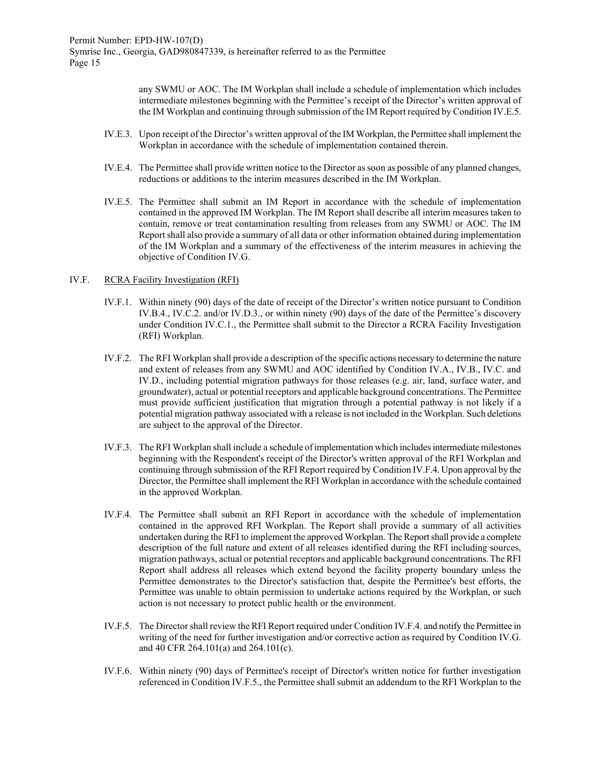any SWMU or AOC. The IM Workplan shall include a schedule of implementation which includes intermediate milestones beginning with the Permittee's receipt of the Director's written approval of the IM Workplan and continuing through submission of the IM Report required by Condition IV.E.5.

- IV.E.3. Upon receipt of the Director's written approval of the IM Workplan, the Permittee shall implement the Workplan in accordance with the schedule of implementation contained therein.
- IV.E.4. The Permittee shall provide written notice to the Director as soon as possible of any planned changes, reductions or additions to the interim measures described in the IM Workplan.
- IV.E.5. The Permittee shall submit an IM Report in accordance with the schedule of implementation contained in the approved IM Workplan. The IM Report shall describe all interim measures taken to contain, remove or treat contamination resulting from releases from any SWMU or AOC. The IM Report shall also provide a summary of all data or other information obtained during implementation of the IM Workplan and a summary of the effectiveness of the interim measures in achieving the objective of Condition IV.G.

#### IV.F. RCRA Facility Investigation (RFI)

- IV.F.1. Within ninety (90) days of the date of receipt of the Director's written notice pursuant to Condition IV.B.4., IV.C.2. and/or IV.D.3., or within ninety (90) days of the date of the Permittee's discovery under Condition IV.C.1., the Permittee shall submit to the Director a RCRA Facility Investigation (RFI) Workplan.
- IV.F.2. The RFI Workplan shall provide a description of the specific actions necessary to determine the nature and extent of releases from any SWMU and AOC identified by Condition IV.A., IV.B., IV.C. and IV.D., including potential migration pathways for those releases (e.g. air, land, surface water, and groundwater), actual or potential receptors and applicable background concentrations. The Permittee must provide sufficient justification that migration through a potential pathway is not likely if a potential migration pathway associated with a release is not included in the Workplan. Such deletions are subject to the approval of the Director.
- IV.F.3. The RFI Workplan shall include a schedule of implementation which includes intermediate milestones beginning with the Respondent's receipt of the Director's written approval of the RFI Workplan and continuing through submission of the RFI Report required by Condition IV.F.4. Upon approval by the Director, the Permittee shall implement the RFI Workplan in accordance with the schedule contained in the approved Workplan.
- IV.F.4. The Permittee shall submit an RFI Report in accordance with the schedule of implementation contained in the approved RFI Workplan. The Report shall provide a summary of all activities undertaken during the RFI to implement the approved Workplan. The Report shall provide a complete description of the full nature and extent of all releases identified during the RFI including sources, migration pathways, actual or potential receptors and applicable background concentrations. The RFI Report shall address all releases which extend beyond the facility property boundary unless the Permittee demonstrates to the Director's satisfaction that, despite the Permittee's best efforts, the Permittee was unable to obtain permission to undertake actions required by the Workplan, or such action is not necessary to protect public health or the environment.
- IV.F.5. The Director shall review the RFI Report required under Condition IV.F.4. and notify the Permittee in writing of the need for further investigation and/or corrective action as required by Condition IV.G. and 40 CFR 264.101(a) and 264.101(c).
- IV.F.6. Within ninety (90) days of Permittee's receipt of Director's written notice for further investigation referenced in Condition IV.F.5., the Permittee shall submit an addendum to the RFI Workplan to the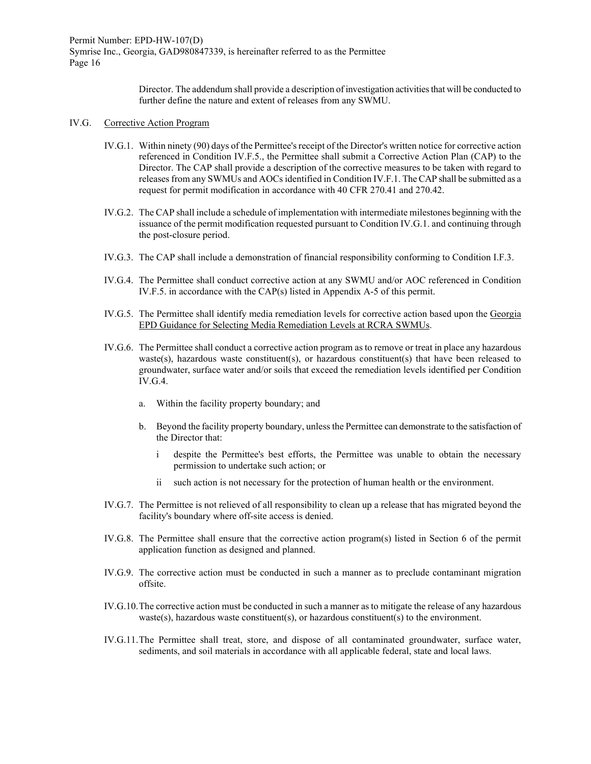> Director. The addendum shall provide a description of investigation activities that will be conducted to further define the nature and extent of releases from any SWMU.

## IV.G. Corrective Action Program

- IV.G.1. Within ninety (90) days of the Permittee's receipt of the Director's written notice for corrective action referenced in Condition IV.F.5., the Permittee shall submit a Corrective Action Plan (CAP) to the Director. The CAP shall provide a description of the corrective measures to be taken with regard to releases from any SWMUs and AOCs identified in Condition IV.F.1. The CAP shall be submitted as a request for permit modification in accordance with 40 CFR 270.41 and 270.42.
- IV.G.2. The CAP shall include a schedule of implementation with intermediate milestones beginning with the issuance of the permit modification requested pursuant to Condition IV.G.1. and continuing through the post-closure period.
- IV.G.3. The CAP shall include a demonstration of financial responsibility conforming to Condition I.F.3.
- IV.G.4. The Permittee shall conduct corrective action at any SWMU and/or AOC referenced in Condition IV.F.5. in accordance with the CAP(s) listed in Appendix A-5 of this permit.
- IV.G.5. The Permittee shall identify media remediation levels for corrective action based upon the Georgia EPD Guidance for Selecting Media Remediation Levels at RCRA SWMUs.
- IV.G.6. The Permittee shall conduct a corrective action program as to remove or treat in place any hazardous waste(s), hazardous waste constituent(s), or hazardous constituent(s) that have been released to groundwater, surface water and/or soils that exceed the remediation levels identified per Condition IV.G.4.
	- a. Within the facility property boundary; and
	- b. Beyond the facility property boundary, unless the Permittee can demonstrate to the satisfaction of the Director that:
		- i despite the Permittee's best efforts, the Permittee was unable to obtain the necessary permission to undertake such action; or
		- ii such action is not necessary for the protection of human health or the environment.
- IV.G.7. The Permittee is not relieved of all responsibility to clean up a release that has migrated beyond the facility's boundary where off-site access is denied.
- IV.G.8. The Permittee shall ensure that the corrective action program(s) listed in Section 6 of the permit application function as designed and planned.
- IV.G.9. The corrective action must be conducted in such a manner as to preclude contaminant migration offsite.
- IV.G.10.The corrective action must be conducted in such a manner as to mitigate the release of any hazardous waste(s), hazardous waste constituent(s), or hazardous constituent(s) to the environment.
- IV.G.11.The Permittee shall treat, store, and dispose of all contaminated groundwater, surface water, sediments, and soil materials in accordance with all applicable federal, state and local laws.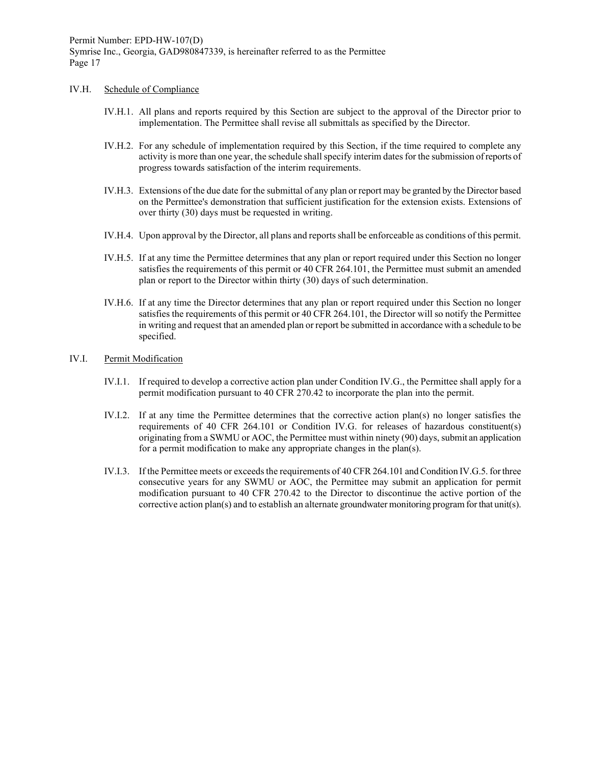#### IV.H. Schedule of Compliance

- IV.H.1. All plans and reports required by this Section are subject to the approval of the Director prior to implementation. The Permittee shall revise all submittals as specified by the Director.
- IV.H.2. For any schedule of implementation required by this Section, if the time required to complete any activity is more than one year, the schedule shall specify interim dates for the submission of reports of progress towards satisfaction of the interim requirements.
- IV.H.3. Extensions of the due date for the submittal of any plan or report may be granted by the Director based on the Permittee's demonstration that sufficient justification for the extension exists. Extensions of over thirty (30) days must be requested in writing.
- IV.H.4. Upon approval by the Director, all plans and reports shall be enforceable as conditions of this permit.
- IV.H.5. If at any time the Permittee determines that any plan or report required under this Section no longer satisfies the requirements of this permit or 40 CFR 264.101, the Permittee must submit an amended plan or report to the Director within thirty (30) days of such determination.
- IV.H.6. If at any time the Director determines that any plan or report required under this Section no longer satisfies the requirements of this permit or 40 CFR 264.101, the Director will so notify the Permittee in writing and request that an amended plan or report be submitted in accordance with a schedule to be specified.

## IV.I. Permit Modification

- IV.I.1. If required to develop a corrective action plan under Condition IV.G., the Permittee shall apply for a permit modification pursuant to 40 CFR 270.42 to incorporate the plan into the permit.
- IV.I.2. If at any time the Permittee determines that the corrective action plan(s) no longer satisfies the requirements of 40 CFR 264.101 or Condition IV.G. for releases of hazardous constituent(s) originating from a SWMU or AOC, the Permittee must within ninety (90) days, submit an application for a permit modification to make any appropriate changes in the plan(s).
- IV.I.3. If the Permittee meets or exceeds the requirements of 40 CFR 264.101 and Condition IV.G.5. for three consecutive years for any SWMU or AOC, the Permittee may submit an application for permit modification pursuant to 40 CFR 270.42 to the Director to discontinue the active portion of the corrective action plan(s) and to establish an alternate groundwater monitoring program for that unit(s).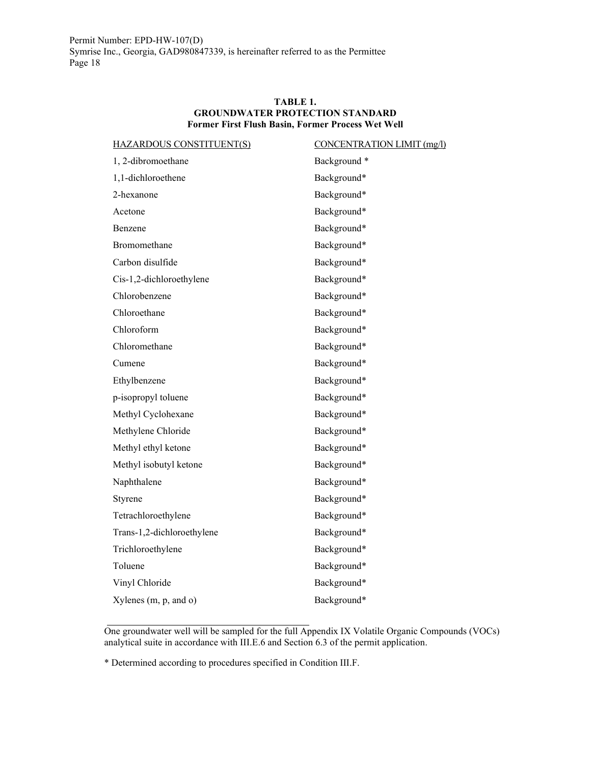#### **TABLE 1. GROUNDWATER PROTECTION STANDARD Former First Flush Basin, Former Process Wet Well**

| <b>HAZARDOUS CONSTITUENT(S)</b> | CONCENTRATION LIMIT (mg/l) |
|---------------------------------|----------------------------|
| 1, 2-dibromoethane              | Background*                |
| 1,1-dichloroethene              | Background*                |
| 2-hexanone                      | Background*                |
| Acetone                         | Background*                |
| Benzene                         | Background*                |
| Bromomethane                    | Background*                |
| Carbon disulfide                | Background*                |
| Cis-1,2-dichloroethylene        | Background*                |
| Chlorobenzene                   | Background*                |
| Chloroethane                    | Background*                |
| Chloroform                      | Background*                |
| Chloromethane                   | Background*                |
| Cumene                          | Background*                |
| Ethylbenzene                    | Background*                |
| p-isopropyl toluene             | Background*                |
| Methyl Cyclohexane              | Background*                |
| Methylene Chloride              | Background*                |
| Methyl ethyl ketone             | Background*                |
| Methyl isobutyl ketone          | Background*                |
| Naphthalene                     | Background*                |
| Styrene                         | Background*                |
| Tetrachloroethylene             | Background*                |
| Trans-1,2-dichloroethylene      | Background*                |
| Trichloroethylene               | Background*                |
| Toluene                         | Background*                |
| Vinyl Chloride                  | Background*                |
| Xylenes $(m, p, and o)$         | Background*                |
|                                 |                            |

One groundwater well will be sampled for the full Appendix IX Volatile Organic Compounds (VOCs) analytical suite in accordance with III.E.6 and Section 6.3 of the permit application.

\* Determined according to procedures specified in Condition III.F.